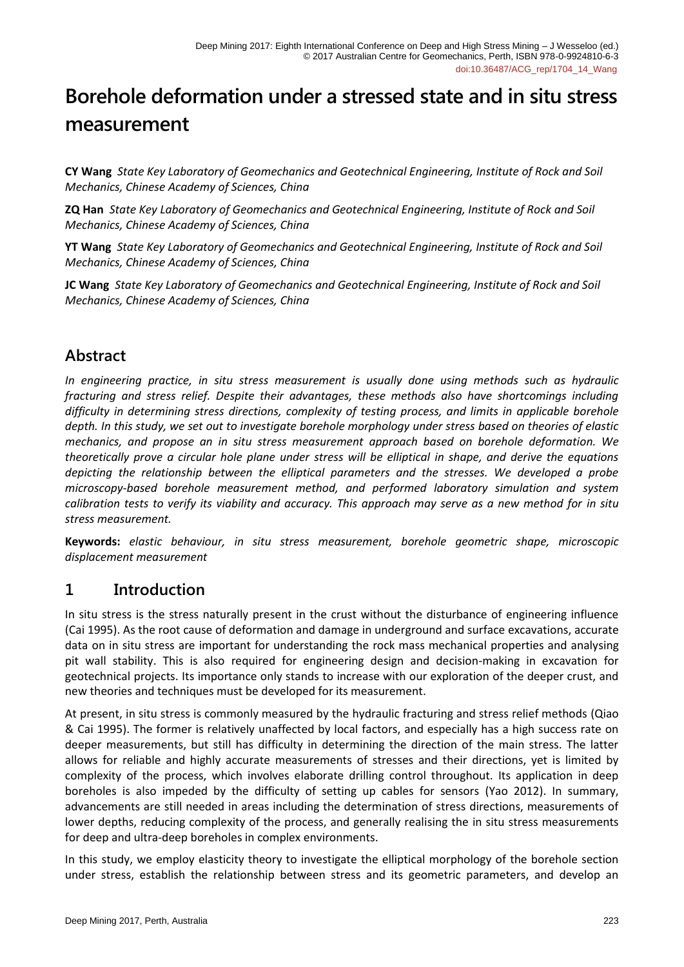# **Borehole deformation under a stressed state and in situ stress measurement**

**CY Wang** *State Key Laboratory of Geomechanics and Geotechnical Engineering, Institute of Rock and Soil Mechanics, Chinese Academy of Sciences, China*

**ZQ Han** *State Key Laboratory of Geomechanics and Geotechnical Engineering, Institute of Rock and Soil Mechanics, Chinese Academy of Sciences, China*

**YT Wang** *State Key Laboratory of Geomechanics and Geotechnical Engineering, Institute of Rock and Soil Mechanics, Chinese Academy of Sciences, China*

**JC Wang** *State Key Laboratory of Geomechanics and Geotechnical Engineering, Institute of Rock and Soil Mechanics, Chinese Academy of Sciences, China*

# **Abstract**

*In engineering practice, in situ stress measurement is usually done using methods such as hydraulic fracturing and stress relief. Despite their advantages, these methods also have shortcomings including difficulty in determining stress directions, complexity of testing process, and limits in applicable borehole depth. In this study, we set out to investigate borehole morphology under stress based on theories of elastic mechanics, and propose an in situ stress measurement approach based on borehole deformation. We theoretically prove a circular hole plane under stress will be elliptical in shape, and derive the equations depicting the relationship between the elliptical parameters and the stresses. We developed a probe microscopy-based borehole measurement method, and performed laboratory simulation and system calibration tests to verify its viability and accuracy. This approach may serve as a new method for in situ stress measurement.*

**Keywords:** *elastic behaviour, in situ stress measurement, borehole geometric shape, microscopic displacement measurement*

# **1 Introduction**

In situ stress is the stress naturally present in the crust without the disturbance of engineering influence (Cai 1995). As the root cause of deformation and damage in underground and surface excavations, accurate data on in situ stress are important for understanding the rock mass mechanical properties and analysing pit wall stability. This is also required for engineering design and decision-making in excavation for geotechnical projects. Its importance only stands to increase with our exploration of the deeper crust, and new theories and techniques must be developed for its measurement.

At present, in situ stress is commonly measured by the hydraulic fracturing and stress relief methods (Qiao & Cai 1995). The former is relatively unaffected by local factors, and especially has a high success rate on deeper measurements, but still has difficulty in determining the direction of the main stress. The latter allows for reliable and highly accurate measurements of stresses and their directions, yet is limited by complexity of the process, which involves elaborate drilling control throughout. Its application in deep boreholes is also impeded by the difficulty of setting up cables for sensors (Yao 2012). In summary, advancements are still needed in areas including the determination of stress directions, measurements of lower depths, reducing complexity of the process, and generally realising the in situ stress measurements for deep and ultra-deep boreholes in complex environments.

In this study, we employ elasticity theory to investigate the elliptical morphology of the borehole section under stress, establish the relationship between stress and its geometric parameters, and develop an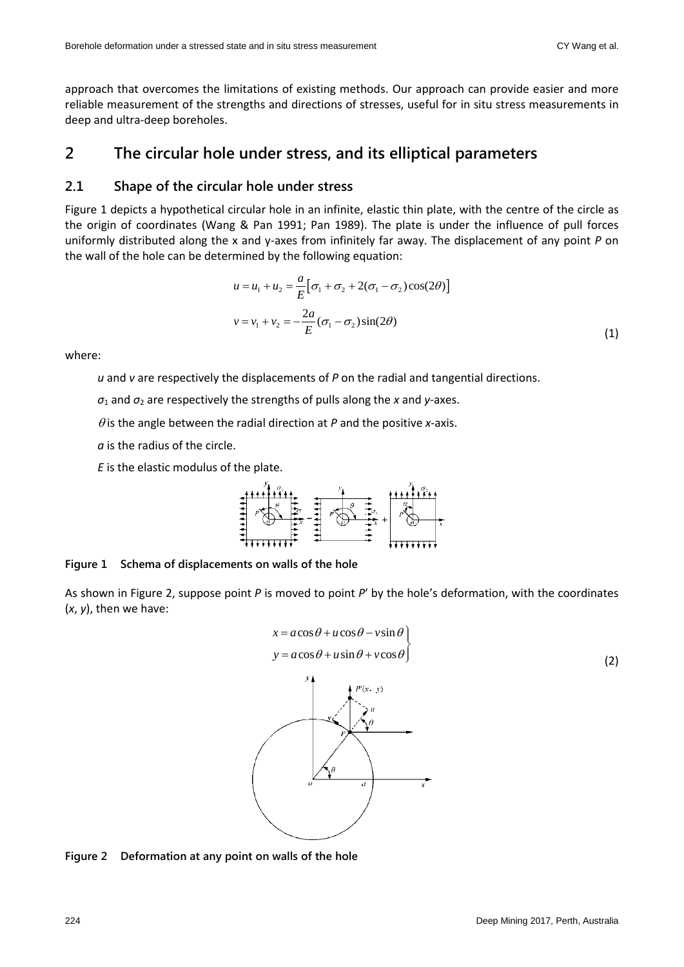approach that overcomes the limitations of existing methods. Our approach can provide easier and more reliable measurement of the strengths and directions of stresses, useful for in situ stress measurements in deep and ultra-deep boreholes.

## **2 The circular hole under stress, and its elliptical parameters**

#### **2.1 Shape of the circular hole under stress**

Figure 1 depicts a hypothetical circular hole in an infinite, elastic thin plate, with the centre of the circle as the origin of coordinates (Wang & Pan 1991; Pan 1989). The plate is under the influence of pull forces uniformly distributed along the x and y-axes from infinitely far away. The displacement of any point *P* on the wall of the hole can be determined by the following equation:

$$
u = u_1 + u_2 = \frac{a}{E} [\sigma_1 + \sigma_2 + 2(\sigma_1 - \sigma_2)\cos(2\theta)]
$$
  

$$
v = v_1 + v_2 = -\frac{2a}{E} (\sigma_1 - \sigma_2)\sin(2\theta)
$$
 (1)

where:

*u* and *v* are respectively the displacements of *P* on the radial and tangential directions.

*σ*<sup>1</sup> and *σ*<sup>2</sup> are respectively the strengths of pulls along the *x* and *y*-axes.

 $\theta$  is the angle between the radial direction at  $P$  and the positive *x*-axis.

*a* is the radius of the circle.

*E* is the elastic modulus of the plate.



**Figure 1 Schema of displacements on walls of the hole**

As shown in Figure 2, suppose point *P* is moved to point *P*′ by the hole's deformation, with the coordinates (*x*, *y*), then we have:



**Figure 2 Deformation at any point on walls of the hole**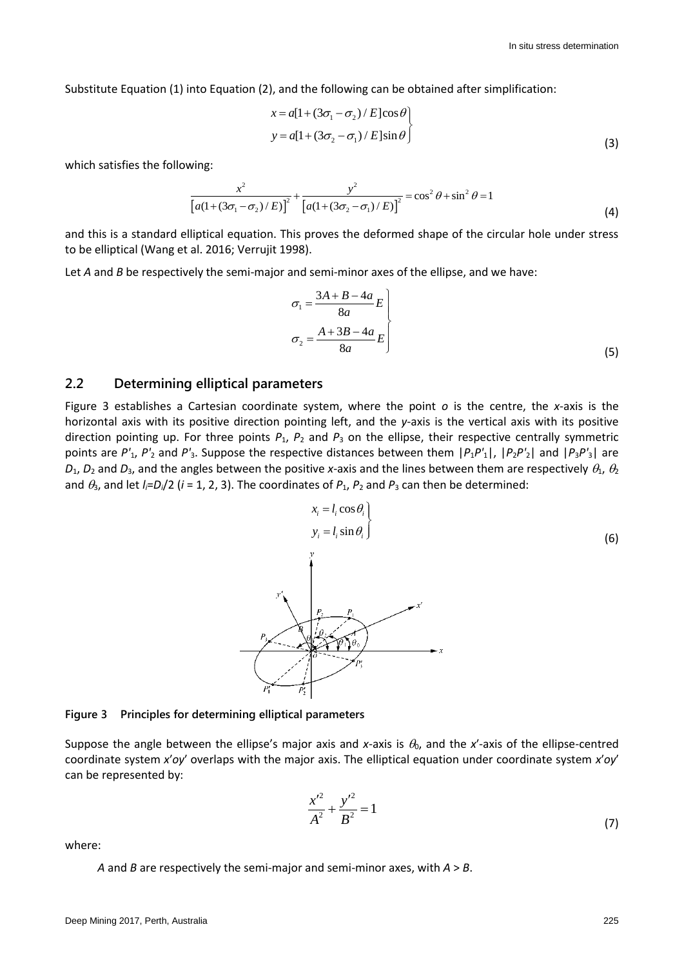Substitute Equation (1) into Equation (2), and the following can be obtained after simplification:

$$
x = a[1 + (3\sigma_1 - \sigma_2)/E]cos\theta
$$
  
\n
$$
y = a[1 + (3\sigma_2 - \sigma_1)/E]sin\theta
$$
\n(3)

which satisfies the following:

wing:  
\n
$$
\frac{x^2}{[a(1+(3\sigma_1-\sigma_2)/E)]^2} + \frac{y^2}{[a(1+(3\sigma_2-\sigma_1)/E)]^2} = \cos^2\theta + \sin^2\theta = 1
$$
\n(4)

and this is a standard elliptical equation. This proves the deformed shape of the circular hole under stress to be elliptical (Wang et al. 2016; Verrujit 1998).

Let *A* and *B* be respectively the semi-major and semi-minor axes of the ellipse, and we have:

$$
\sigma_1 = \frac{3A + B - 4a}{8a} E
$$
  

$$
\sigma_2 = \frac{A + 3B - 4a}{8a} E
$$
 (5)

#### **2.2 Determining elliptical parameters**

Figure 3 establishes a Cartesian coordinate system, where the point *o* is the centre, the *x*-axis is the horizontal axis with its positive direction pointing left, and the *y*-axis is the vertical axis with its positive direction pointing up. For three points  $P_1$ ,  $P_2$  and  $P_3$  on the ellipse, their respective centrally symmetric points are  $P'_1$ ,  $P'_2$  and  $P'_3$ . Suppose the respective distances between them  $|P_1P'_1|$ ,  $|P_2P'_2|$  and  $|P_3P'_3|$  are  $D_1$ ,  $D_2$  and  $D_3$ , and the angles between the positive *x*-axis and the lines between them are respectively  $\theta_1$ ,  $\theta_2$ and  $\theta_3$ , and let  $I_i=D_i/2$  ( $i=1, 2, 3$ ). The coordinates of  $P_1$ ,  $P_2$  and  $P_3$  can then be determined:



**Figure 3 Principles for determining elliptical parameters**

Suppose the angle between the ellipse's major axis and *x*-axis is  $\theta_0$ , and the *x'*-axis of the ellipse-centred coordinate system *x*′*oy*′ overlaps with the major axis. The elliptical equation under coordinate system *x*′*oy*′ can be represented by:

$$
\frac{x'^2}{A^2} + \frac{y'^2}{B^2} = 1\tag{7}
$$

where:

*A* and *B* are respectively the semi-major and semi-minor axes, with *A* > *B*.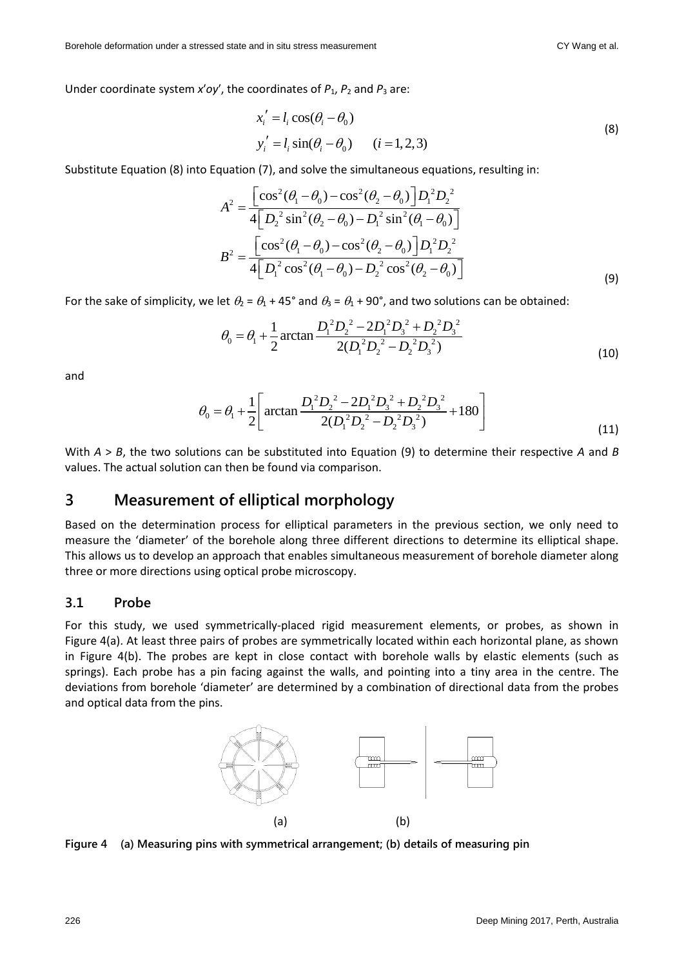Under coordinate system  $x'oy'$ , the coordinates of  $P_1$ ,  $P_2$  and  $P_3$  are:

$$
x'_{i} = l_{i} \cos(\theta_{i} - \theta_{0})
$$
  
\n
$$
y'_{i} = l_{i} \sin(\theta_{i} - \theta_{0})
$$
  $(i = 1, 2, 3)$  (8)

Substitute Equation (8) into Equation (7), and solve the simultaneous equations, resulting in:  
\n
$$
A^2 = \frac{\left[\cos^2(\theta_1 - \theta_0) - \cos^2(\theta_2 - \theta_0)\right]D_1^2D_2^2}{4\left[D_2^2\sin^2(\theta_2 - \theta_0) - D_1^2\sin^2(\theta_1 - \theta_0)\right]}
$$
\n
$$
B^2 = \frac{\left[\cos^2(\theta_1 - \theta_0) - \cos^2(\theta_2 - \theta_0)\right]D_1^2D_2^2}{4\left[D_1^2\cos^2(\theta_1 - \theta_0) - D_2^2\cos^2(\theta_2 - \theta_0)\right]}
$$
\n(9)

For the sake of simplicity, we let 
$$
\theta_2 = \theta_1 + 45^\circ
$$
 and  $\theta_3 = \theta_1 + 90^\circ$ , and two solutions can be obtained:  
\n
$$
\theta_0 = \theta_1 + \frac{1}{2}\arctan \frac{D_1^2 D_2^2 - 2D_1^2 D_3^2 + D_2^2 D_3^2}{2(D_1^2 D_2^2 - D_2^2 D_3^2)}
$$
\n(10)

and

$$
\theta_0 = \theta_1 + \frac{1}{2} \left[ \arctan \frac{D_1^2 D_2^2 - 2D_1^2 D_3^2 + D_2^2 D_3^2}{2(D_1^2 D_2^2 - D_2^2 D_3^2)} + 180 \right]
$$
\n(11)

With *A* > *B*, the two solutions can be substituted into Equation (9) to determine their respective *A* and *B* values. The actual solution can then be found via comparison.

## **3 Measurement of elliptical morphology**

Based on the determination process for elliptical parameters in the previous section, we only need to measure the 'diameter' of the borehole along three different directions to determine its elliptical shape. This allows us to develop an approach that enables simultaneous measurement of borehole diameter along three or more directions using optical probe microscopy.

#### **3.1 Probe**

For this study, we used symmetrically-placed rigid measurement elements, or probes, as shown in Figure 4(a). At least three pairs of probes are symmetrically located within each horizontal plane, as shown in Figure 4(b). The probes are kept in close contact with borehole walls by elastic elements (such as springs). Each probe has a pin facing against the walls, and pointing into a tiny area in the centre. The deviations from borehole 'diameter' are determined by a combination of directional data from the probes and optical data from the pins.



**Figure 4 (a) Measuring pins with symmetrical arrangement; (b) details of measuring pin**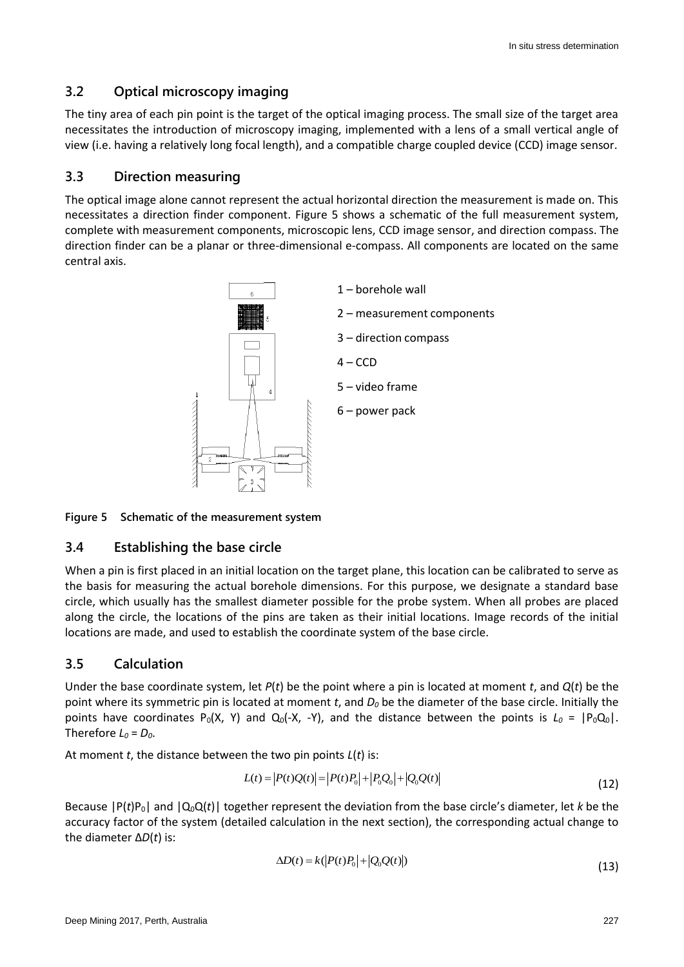## **3.2 Optical microscopy imaging**

The tiny area of each pin point is the target of the optical imaging process. The small size of the target area necessitates the introduction of microscopy imaging, implemented with a lens of a small vertical angle of view (i.e. having a relatively long focal length), and a compatible charge coupled device (CCD) image sensor.

## **3.3 Direction measuring**

The optical image alone cannot represent the actual horizontal direction the measurement is made on. This necessitates a direction finder component. Figure 5 shows a schematic of the full measurement system, complete with measurement components, microscopic lens, CCD image sensor, and direction compass. The direction finder can be a planar or three-dimensional e-compass. All components are located on the same central axis.



#### **Figure 5 Schematic of the measurement system**

## **3.4 Establishing the base circle**

When a pin is first placed in an initial location on the target plane, this location can be calibrated to serve as the basis for measuring the actual borehole dimensions. For this purpose, we designate a standard base circle, which usually has the smallest diameter possible for the probe system. When all probes are placed along the circle, the locations of the pins are taken as their initial locations. Image records of the initial locations are made, and used to establish the coordinate system of the base circle.

## **3.5 Calculation**

Under the base coordinate system, let *P*(*t*) be the point where a pin is located at moment *t*, and *Q*(*t*) be the point where its symmetric pin is located at moment *t*, and *D<sup>0</sup>* be the diameter of the base circle. Initially the points have coordinates P<sub>0</sub>(X, Y) and Q<sub>0</sub>(-X, -Y), and the distance between the points is  $L_0 = |P_0Q_0|$ . Therefore  $L_0 = D_0$ .

At moment *t*, the distance between the two pin points *L*(*t*) is:<br>  $L(t) = |P(t)Q(t)| = |P(t)P_0| + |P_0Q_0| + |Q_0Q(t)|$ 

$$
L(t) = |P(t)Q(t)| = |P(t)P_0| + |P_0Q_0| + |Q_0Q(t)|
$$
\n(12)

Because  $|P(t)P_0|$  and  $|Q_0Q(t)|$  together represent the deviation from the base circle's diameter, let *k* be the accuracy factor of the system (detailed calculation in the next section), the corresponding actual change to the diameter Δ*D*(*t*) is:

$$
\Delta D(t) = k \left( \left| P(t)P_0 \right| + \left| Q_0 Q(t) \right| \right) \tag{13}
$$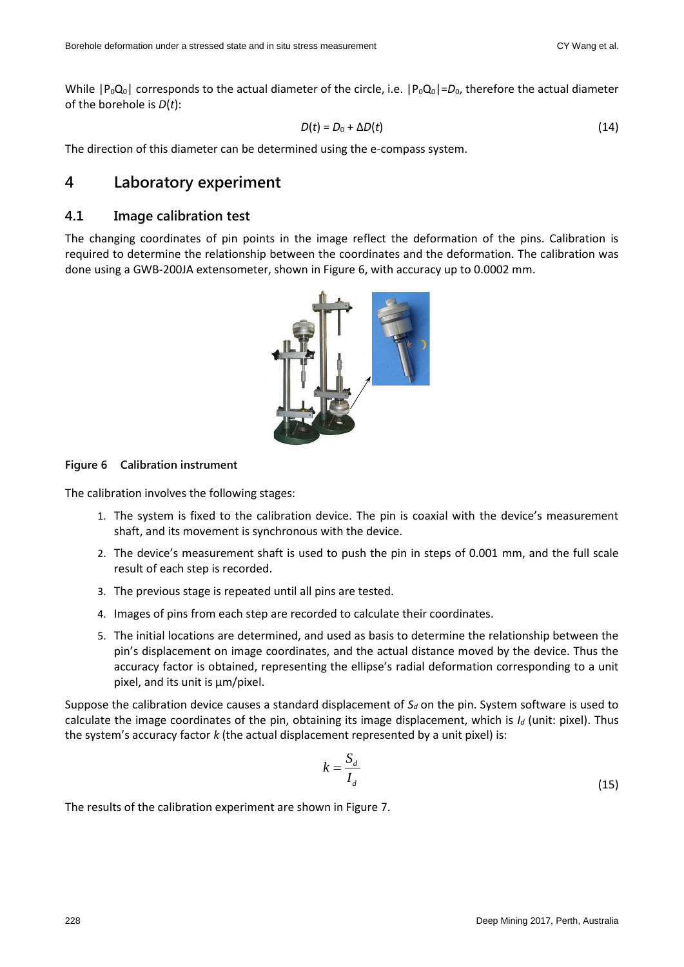While  $|P_0Q_0|$  corresponds to the actual diameter of the circle, i.e.  $|P_0Q_0|=D_0$ , therefore the actual diameter of the borehole is *D*(*t*):

$$
D(t) = D_0 + \Delta D(t) \tag{14}
$$

The direction of this diameter can be determined using the e-compass system.

## **4 Laboratory experiment**

#### **4.1 Image calibration test**

The changing coordinates of pin points in the image reflect the deformation of the pins. Calibration is required to determine the relationship between the coordinates and the deformation. The calibration was done using a GWB-200JA extensometer, shown in Figure 6, with accuracy up to 0.0002 mm.



**Figure 6 Calibration instrument**

The calibration involves the following stages:

- 1. The system is fixed to the calibration device. The pin is coaxial with the device's measurement shaft, and its movement is synchronous with the device.
- 2. The device's measurement shaft is used to push the pin in steps of 0.001 mm, and the full scale result of each step is recorded.
- 3. The previous stage is repeated until all pins are tested.
- 4. Images of pins from each step are recorded to calculate their coordinates.
- 5. The initial locations are determined, and used as basis to determine the relationship between the pin's displacement on image coordinates, and the actual distance moved by the device. Thus the accuracy factor is obtained, representing the ellipse's radial deformation corresponding to a unit pixel, and its unit is μm/pixel.

Suppose the calibration device causes a standard displacement of *S<sup>d</sup>* on the pin. System software is used to calculate the image coordinates of the pin, obtaining its image displacement, which is *I<sup>d</sup>* (unit: pixel). Thus the system's accuracy factor *k* (the actual displacement represented by a unit pixel) is:

$$
k = \frac{S_d}{I_d} \tag{15}
$$

The results of the calibration experiment are shown in Figure 7.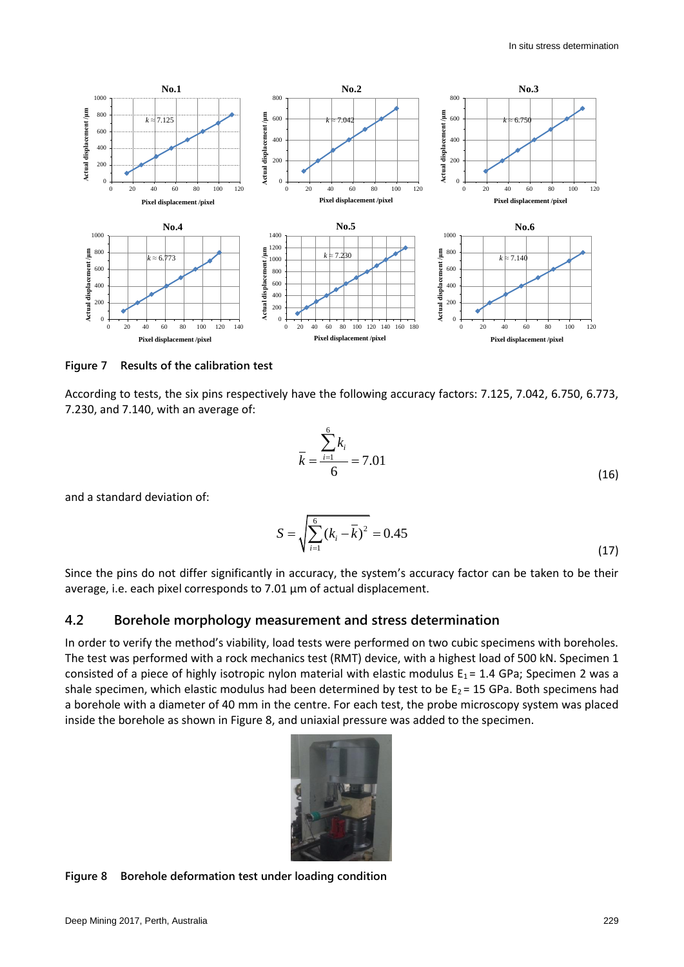

**Figure 7 Results of the calibration test**

According to tests, the six pins respectively have the following accuracy factors: 7.125, 7.042, 6.750, 6.773, 7.230, and 7.140, with an average of:

$$
\bar{k} = \frac{\sum_{i=1}^{6} k_i}{6} = 7.01
$$
\n(16)

and a standard deviation of:

$$
S = \sqrt{\sum_{i=1}^{6} (k_i - \overline{k})^2} = 0.45
$$
 (17)

Since the pins do not differ significantly in accuracy, the system's accuracy factor can be taken to be their average, i.e. each pixel corresponds to 7.01 μm of actual displacement.

#### **4.2 Borehole morphology measurement and stress determination**

In order to verify the method's viability, load tests were performed on two cubic specimens with boreholes. The test was performed with a rock mechanics test (RMT) device, with a highest load of 500 kN. Specimen 1 consisted of a piece of highly isotropic nylon material with elastic modulus  $E_1 = 1.4$  GPa; Specimen 2 was a shale specimen, which elastic modulus had been determined by test to be  $E_2 = 15$  GPa. Both specimens had a borehole with a diameter of 40 mm in the centre. For each test, the probe microscopy system was placed inside the borehole as shown in Figure 8, and uniaxial pressure was added to the specimen.



#### **Figure 8 Borehole deformation test under loading condition**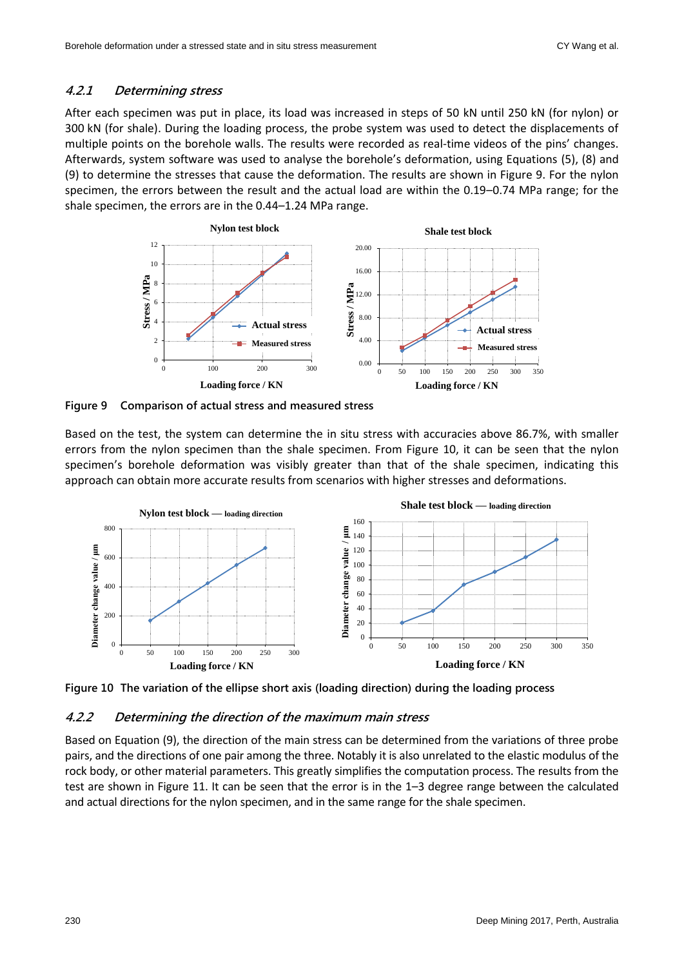#### **4.2.1 Determining stress**

After each specimen was put in place, its load was increased in steps of 50 kN until 250 kN (for nylon) or 300 kN (for shale). During the loading process, the probe system was used to detect the displacements of multiple points on the borehole walls. The results were recorded as real-time videos of the pins' changes. Afterwards, system software was used to analyse the borehole's deformation, using Equations (5), (8) and (9) to determine the stresses that cause the deformation. The results are shown in Figure 9. For the nylon specimen, the errors between the result and the actual load are within the 0.19–0.74 MPa range; for the shale specimen, the errors are in the 0.44–1.24 MPa range.



**Figure 9 Comparison of actual stress and measured stress**

Based on the test, the system can determine the in situ stress with accuracies above 86.7%, with smaller errors from the nylon specimen than the shale specimen. From Figure 10, it can be seen that the nylon specimen's borehole deformation was visibly greater than that of the shale specimen, indicating this approach can obtain more accurate results from scenarios with higher stresses and deformations.



**Figure 10 The variation of the ellipse short axis (loading direction) during the loading process**

#### **4.2.2 Determining the direction of the maximum main stress**

Based on Equation (9), the direction of the main stress can be determined from the variations of three probe pairs, and the directions of one pair among the three. Notably it is also unrelated to the elastic modulus of the rock body, or other material parameters. This greatly simplifies the computation process. The results from the test are shown in Figure 11. It can be seen that the error is in the 1–3 degree range between the calculated and actual directions for the nylon specimen, and in the same range for the shale specimen.